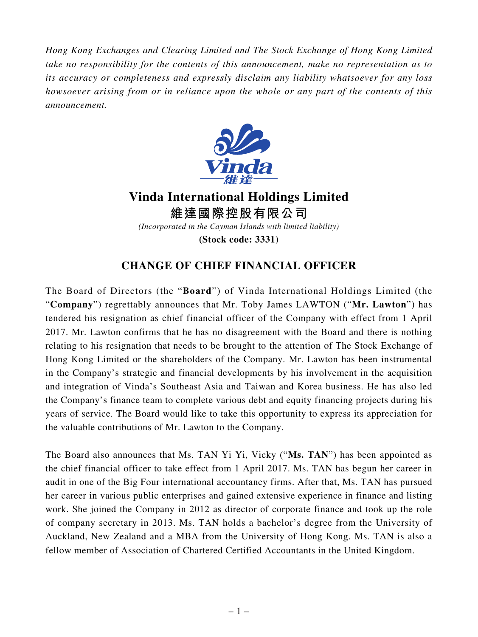*Hong Kong Exchanges and Clearing Limited and The Stock Exchange of Hong Kong Limited take no responsibility for the contents of this announcement, make no representation as to its accuracy or completeness and expressly disclaim any liability whatsoever for any loss howsoever arising from or in reliance upon the whole or any part of the contents of this announcement.*



**Vinda International Holdings Limited 維達國際控股有限公司** *(Incorporated in the Cayman Islands with limited liability)* **(Stock code: 3331)**

## **CHANGE OF CHIEF FINANCIAL OFFICER**

The Board of Directors (the "**Board**") of Vinda International Holdings Limited (the "**Company**") regrettably announces that Mr. Toby James LAWTON ("**Mr. Lawton**") has tendered his resignation as chief financial officer of the Company with effect from 1 April 2017. Mr. Lawton confirms that he has no disagreement with the Board and there is nothing relating to his resignation that needs to be brought to the attention of The Stock Exchange of Hong Kong Limited or the shareholders of the Company. Mr. Lawton has been instrumental in the Company's strategic and financial developments by his involvement in the acquisition and integration of Vinda's Southeast Asia and Taiwan and Korea business. He has also led the Company's finance team to complete various debt and equity financing projects during his years of service. The Board would like to take this opportunity to express its appreciation for the valuable contributions of Mr. Lawton to the Company.

The Board also announces that Ms. TAN Yi Yi, Vicky ("**Ms. TAN**") has been appointed as the chief financial officer to take effect from 1 April 2017. Ms. TAN has begun her career in audit in one of the Big Four international accountancy firms. After that, Ms. TAN has pursued her career in various public enterprises and gained extensive experience in finance and listing work. She joined the Company in 2012 as director of corporate finance and took up the role of company secretary in 2013. Ms. TAN holds a bachelor's degree from the University of Auckland, New Zealand and a MBA from the University of Hong Kong. Ms. TAN is also a fellow member of Association of Chartered Certified Accountants in the United Kingdom.